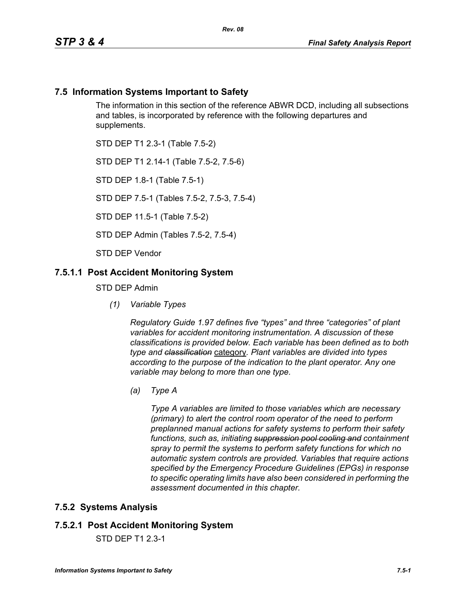### **7.5 Information Systems Important to Safety**

The information in this section of the reference ABWR DCD, including all subsections and tables, is incorporated by reference with the following departures and supplements.

STD DEP T1 2.3-1 (Table 7.5-2)

STD DEP T1 2.14-1 (Table 7.5-2, 7.5-6)

STD DEP 1.8-1 (Table 7.5-1)

STD DEP 7.5-1 (Tables 7.5-2, 7.5-3, 7.5-4)

STD DEP 11.5-1 (Table 7.5-2)

STD DEP Admin (Tables 7.5-2, 7.5-4)

STD DEP Vendor

### **7.5.1.1 Post Accident Monitoring System**

STD DEP Admin

*(1) Variable Types*

*Regulatory Guide 1.97 defines five "types" and three "categories" of plant variables for accident monitoring instrumentation. A discussion of these classifications is provided below. Each variable has been defined as to both type and classification* category*. Plant variables are divided into types according to the purpose of the indication to the plant operator. Any one variable may belong to more than one type.*

*(a) Type A*

*Type A variables are limited to those variables which are necessary (primary) to alert the control room operator of the need to perform preplanned manual actions for safety systems to perform their safety functions, such as, initiating suppression pool cooling and containment spray to permit the systems to perform safety functions for which no automatic system controls are provided. Variables that require actions specified by the Emergency Procedure Guidelines (EPGs) in response to specific operating limits have also been considered in performing the assessment documented in this chapter.*

#### **7.5.2 Systems Analysis**

#### **7.5.2.1 Post Accident Monitoring System**

STD DEP T1 2.3-1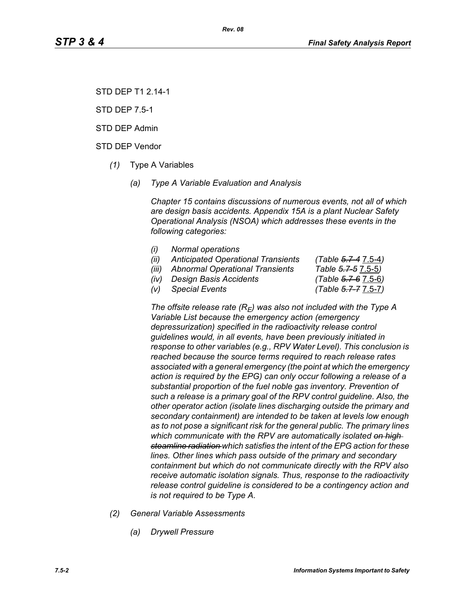STD DEP T1 2.14-1

STD DEP 7.5-1

STD DEP Admin

STD DEP Vendor

- *(1)* Type A Variables
	- *(a) Type A Variable Evaluation and Analysis*

*Chapter 15 contains discussions of numerous events, not all of which are design basis accidents. Appendix 15A is a plant Nuclear Safety Operational Analysis (NSOA) which addresses these events in the following categories:*

- *(i) Normal operations*
- *(ii) Anticipated Operational Transients (Table 5.7-4* 7.5-4*)*
- *(iii) Abnormal Operational Transients Table 5.7-5* 7.5-5*)*
- *(iv) Design Basis Accidents (Table 5.7-6* 7.5-6*)*

*(v) Special Events (Table 5.7-7* 7.5-7*)*

The offsite release rate  $(R_E)$  was also not included with the Type A *Variable List because the emergency action (emergency depressurization) specified in the radioactivity release control guidelines would, in all events, have been previously initiated in response to other variables (e.g., RPV Water Level). This conclusion is reached because the source terms required to reach release rates associated with a general emergency (the point at which the emergency action is required by the EPG) can only occur following a release of a substantial proportion of the fuel noble gas inventory. Prevention of such a release is a primary goal of the RPV control guideline. Also, the other operator action (isolate lines discharging outside the primary and secondary containment) are intended to be taken at levels low enough as to not pose a significant risk for the general public. The primary lines which communicate with the RPV are automatically isolated on high steamline radiation which satisfies the intent of the EPG action for these lines. Other lines which pass outside of the primary and secondary containment but which do not communicate directly with the RPV also receive automatic isolation signals. Thus, response to the radioactivity release control guideline is considered to be a contingency action and is not required to be Type A.*

- *(2) General Variable Assessments*
	- *(a) Drywell Pressure*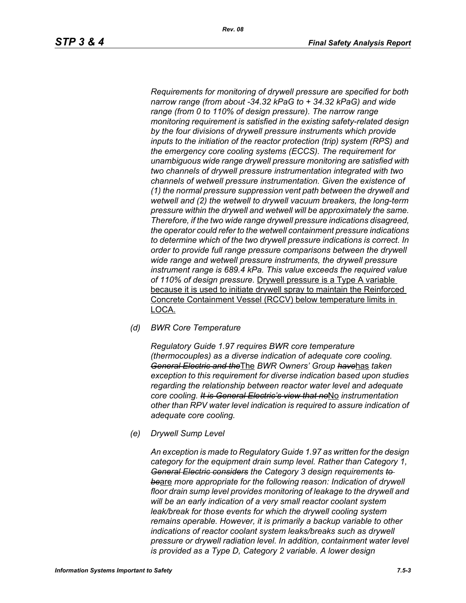*Requirements for monitoring of drywell pressure are specified for both narrow range (from about -34.32 kPaG to + 34.32 kPaG) and wide range (from 0 to 110% of design pressure). The narrow range monitoring requirement is satisfied in the existing safety-related design by the four divisions of drywell pressure instruments which provide inputs to the initiation of the reactor protection (trip) system (RPS) and the emergency core cooling systems (ECCS). The requirement for unambiguous wide range drywell pressure monitoring are satisfied with two channels of drywell pressure instrumentation integrated with two channels of wetwell pressure instrumentation. Given the existence of (1) the normal pressure suppression vent path between the drywell and wetwell and (2) the wetwell to drywell vacuum breakers, the long-term pressure within the drywell and wetwell will be approximately the same. Therefore, if the two wide range drywell pressure indications disagreed, the operator could refer to the wetwell containment pressure indications to determine which of the two drywell pressure indications is correct. In order to provide full range pressure comparisons between the drywell wide range and wetwell pressure instruments, the drywell pressure instrument range is 689.4 kPa. This value exceeds the required value of 110% of design pressure.* Drywell pressure is a Type A variable because it is used to initiate drywell spray to maintain the Reinforced Concrete Containment Vessel (RCCV) below temperature limits in LOCA.

*(d) BWR Core Temperature*

*Regulatory Guide 1.97 requires BWR core temperature (thermocouples) as a diverse indication of adequate core cooling. General Electric and the*The *BWR Owners' Group have*has *taken exception to this requirement for diverse indication based upon studies regarding the relationship between reactor water level and adequate core cooling. It is General Electric's view that no*No *instrumentation other than RPV water level indication is required to assure indication of adequate core cooling.*

*(e) Drywell Sump Level*

*An exception is made to Regulatory Guide 1.97 as written for the design category for the equipment drain sump level. Rather than Category 1, General Electric considers the Category 3 design requirements to be*are *more appropriate for the following reason: Indication of drywell floor drain sump level provides monitoring of leakage to the drywell and will be an early indication of a very small reactor coolant system leak/break for those events for which the drywell cooling system remains operable. However, it is primarily a backup variable to other indications of reactor coolant system leaks/breaks such as drywell pressure or drywell radiation level. In addition, containment water level is provided as a Type D, Category 2 variable. A lower design*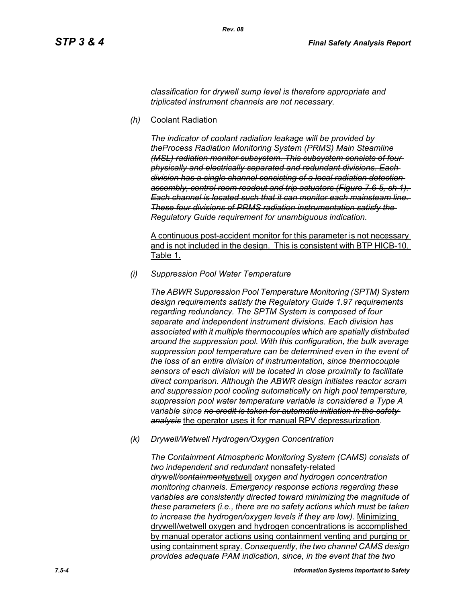*classification for drywell sump level is therefore appropriate and triplicated instrument channels are not necessary.*

*(h)* Coolant Radiation

*The indicator of coolant radiation leakage will be provided by theProcess Radiation Monitoring System (PRMS) Main Steamline (MSL) radiation monitor subsystem. This subsystem consists of four physically and electrically separated and redundant divisions. Each division has a single channel consisting of a local radiation detection assembly, control room readout and trip actuators (Figure 7.6-5, sh 1). Each channel is located such that it can monitor each mainsteam line. These four divisions of PRMS radiation instrumentation satisfy the Regulatory Guide requirement for unambiguous indication.*

A continuous post-accident monitor for this parameter is not necessary and is not included in the design. This is consistent with BTP HICB-10, Table 1.

*(i) Suppression Pool Water Temperature*

*The ABWR Suppression Pool Temperature Monitoring (SPTM) System design requirements satisfy the Regulatory Guide 1.97 requirements regarding redundancy. The SPTM System is composed of four separate and independent instrument divisions. Each division has associated with it multiple thermocouples which are spatially distributed around the suppression pool. With this configuration, the bulk average suppression pool temperature can be determined even in the event of the loss of an entire division of instrumentation, since thermocouple sensors of each division will be located in close proximity to facilitate direct comparison. Although the ABWR design initiates reactor scram and suppression pool cooling automatically on high pool temperature, suppression pool water temperature variable is considered a Type A variable since no credit is taken for automatic initiation in the safety analysis* the operator uses it for manual RPV depressurization*.*

*(k) Drywell/Wetwell Hydrogen/Oxygen Concentration*

*The Containment Atmospheric Monitoring System (CAMS) consists of two independent and redundant* nonsafety-related *drywell/containment*wetwell *oxygen and hydrogen concentration monitoring channels. Emergency response actions regarding these variables are consistently directed toward minimizing the magnitude of these parameters (i.e., there are no safety actions which must be taken to increase the hydrogen/oxygen levels if they are low).* Minimizing drywell/wetwell oxygen and hydrogen concentrations is accomplished by manual operator actions using containment venting and purging or using containment spray. *Consequently, the two channel CAMS design provides adequate PAM indication, since, in the event that the two*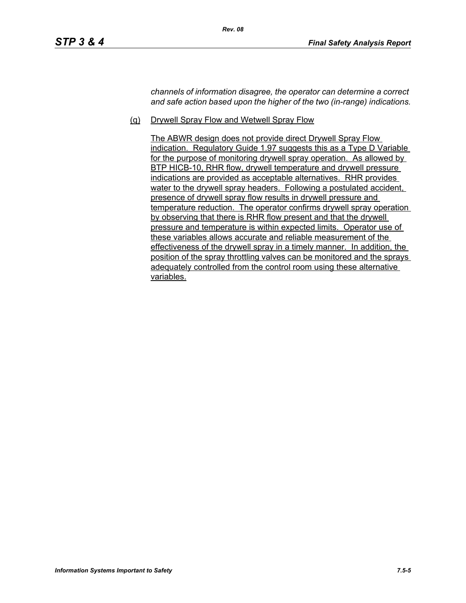*channels of information disagree, the operator can determine a correct and safe action based upon the higher of the two (in-range) indications.*

(q) Drywell Spray Flow and Wetwell Spray Flow

*Rev. 08*

The ABWR design does not provide direct Drywell Spray Flow indication. Regulatory Guide 1.97 suggests this as a Type D Variable for the purpose of monitoring drywell spray operation. As allowed by BTP HICB-10, RHR flow, drywell temperature and drywell pressure indications are provided as acceptable alternatives. RHR provides water to the drywell spray headers. Following a postulated accident, presence of drywell spray flow results in drywell pressure and temperature reduction. The operator confirms drywell spray operation by observing that there is RHR flow present and that the drywell pressure and temperature is within expected limits. Operator use of these variables allows accurate and reliable measurement of the effectiveness of the drywell spray in a timely manner. In addition, the position of the spray throttling valves can be monitored and the sprays adequately controlled from the control room using these alternative variables.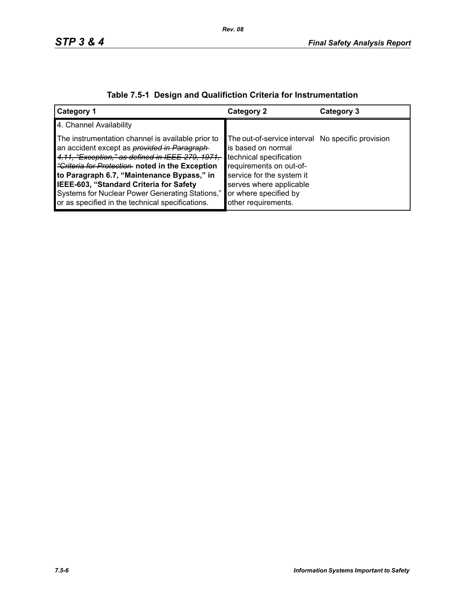| <b>Category 1</b>                                                                                                                                                                                                                                                                                                                                                                                              | <b>Category 2</b>                                                                                                                                                                                                                     | Category 3 |
|----------------------------------------------------------------------------------------------------------------------------------------------------------------------------------------------------------------------------------------------------------------------------------------------------------------------------------------------------------------------------------------------------------------|---------------------------------------------------------------------------------------------------------------------------------------------------------------------------------------------------------------------------------------|------------|
| 4. Channel Availability                                                                                                                                                                                                                                                                                                                                                                                        |                                                                                                                                                                                                                                       |            |
| The instrumentation channel is available prior to<br>an accident except as <i>provided in Paragraph</i><br>4.11. "Exception," as defined in IEEE-279, 1971,<br>"Criteria for Protection noted in the Exception<br>to Paragraph 6.7, "Maintenance Bypass," in<br>IEEE-603, "Standard Criteria for Safety<br>Systems for Nuclear Power Generating Stations,"<br>or as specified in the technical specifications. | The out-of-service interval No specific provision<br>is based on normal<br>technical specification<br>requirements on out-of-<br>service for the system it<br>serves where applicable<br>or where specified by<br>other requirements. |            |

# **Table 7.5-1 Design and Qualifiction Criteria for Instrumentation**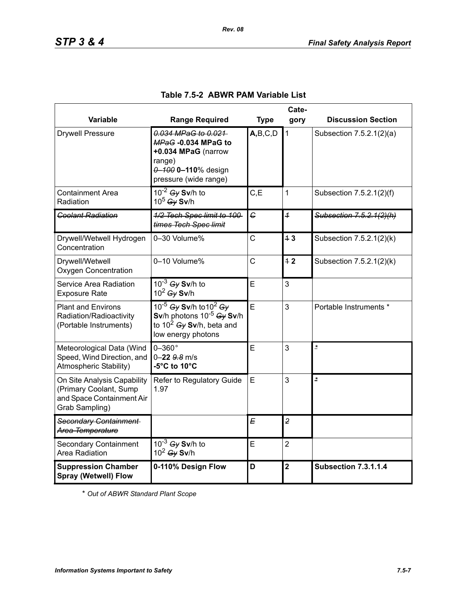|                                                                                                      | Cate-                                                                                                                        |                |                         |                             |  |
|------------------------------------------------------------------------------------------------------|------------------------------------------------------------------------------------------------------------------------------|----------------|-------------------------|-----------------------------|--|
| Variable                                                                                             | <b>Range Required</b>                                                                                                        | <b>Type</b>    | gory                    | <b>Discussion Section</b>   |  |
| <b>Drywell Pressure</b>                                                                              | 0.034 MPaG to 0.021<br>MPaG-0.034 MPaG to<br>+0.034 MPaG (narrow<br>range)<br>0-100 0-110% design<br>pressure (wide range)   | A,B,C,D        | $\mathbf{1}$            | Subsection 7.5.2.1(2)(a)    |  |
| <b>Containment Area</b><br>Radiation                                                                 | $10^{-2}$ Gy Sv/h to<br>$10^5$ Gy Sv/h                                                                                       | C, E           | 1                       | Subsection 7.5.2.1(2)(f)    |  |
| <b>Coolant Radiation</b>                                                                             | 1/2 Tech Spec limit to 100-<br>times Tech Spec limit                                                                         | $\epsilon$     | $\overline{1}$          | Subsection 7.5.2.1(2)(h)    |  |
| Drywell/Wetwell Hydrogen<br>Concentration                                                            | 0-30 Volume%                                                                                                                 | $\overline{C}$ | 13                      | Subsection 7.5.2.1(2)(k)    |  |
| Drywell/Wetwell<br><b>Oxygen Concentration</b>                                                       | 0-10 Volume%                                                                                                                 | $\mathsf{C}$   | 42                      | Subsection 7.5.2.1(2)(k)    |  |
| Service Area Radiation<br><b>Exposure Rate</b>                                                       | $10^{-3}$ Gy Sv/h to<br>$10^2$ Gy Sv/h                                                                                       | E              | 3                       |                             |  |
| <b>Plant and Environs</b><br>Radiation/Radioactivity<br>(Portable Instruments)                       | 10 <sup>-5</sup> Gy Sv/h to $10^2$ Gy<br>Sv/h photons $10^{-5}$ Gy Sv/h<br>to $10^2$ Gy Sv/h, beta and<br>low energy photons | E              | 3                       | Portable Instruments *      |  |
| Meteorological Data (Wind<br>Speed, Wind Direction, and<br>Atmospheric Stability)                    | $0-360$ °<br>$0 - 22$ $9.8$ m/s<br>-5°C to 10°C                                                                              | E              | 3                       | $\overline{z}$              |  |
| On Site Analysis Capability<br>(Primary Coolant, Sump<br>and Space Containment Air<br>Grab Sampling) | Refer to Regulatory Guide<br>1.97                                                                                            | E              | 3                       | $\pmb{\ast}$                |  |
| Secondary Containment<br>Area Temperature                                                            |                                                                                                                              | E              | $\overline{2}$          |                             |  |
| <b>Secondary Containment</b><br>Area Radiation                                                       | $10^{-3}$ Gy Sv/h to<br>$10^2$ Gy Sv/h                                                                                       | E              | $\overline{2}$          |                             |  |
| <b>Suppression Chamber</b><br><b>Spray (Wetwell) Flow</b>                                            | 0-110% Design Flow                                                                                                           | D              | $\overline{\mathbf{2}}$ | <b>Subsection 7.3.1.1.4</b> |  |

## **Table 7.5-2 ABWR PAM Variable List**

*Rev. 08*

\* *Out of ABWR Standard Plant Scope*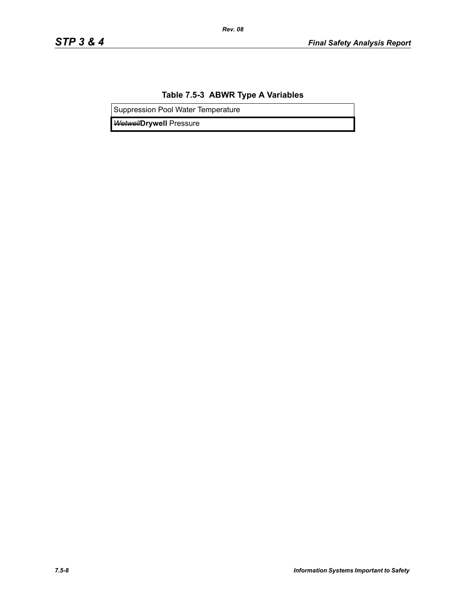### **Table 7.5-3 ABWR Type A Variables**

*Rev. 08*

Suppression Pool Water Temperature

*Wetwell***Drywell** Pressure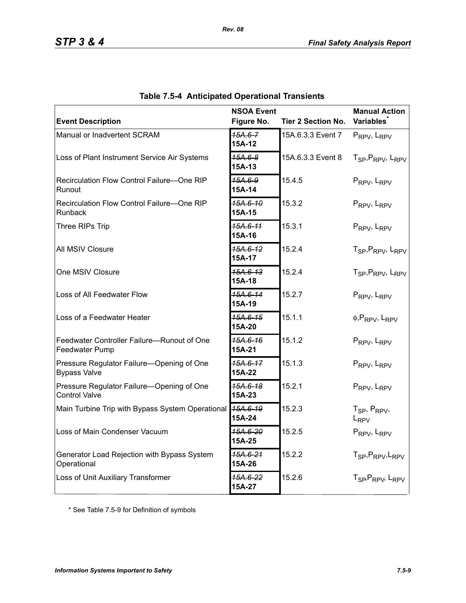| <b>Event Description</b>                                          | <b>NSOA Event</b><br>Figure No. | <b>Tier 2 Section No.</b> | <b>Manual Action</b><br><b>Variables</b>              |
|-------------------------------------------------------------------|---------------------------------|---------------------------|-------------------------------------------------------|
| Manual or Inadvertent SCRAM                                       | $15A.6 - 7$                     | 15A.6.3.3 Event 7         | PRPV, LRPV                                            |
| Loss of Plant Instrument Service Air Systems                      | 15A-12<br>$45A.6 - 8$<br>15A-13 | 15A.6.3.3 Event 8         | T <sub>SP</sub> , P <sub>RPV</sub> , L <sub>RPV</sub> |
| Recirculation Flow Control Failure-One RIP<br>Runout              | 15A.6-9<br>15A-14               | 15.4.5                    | PRPV, LRPV                                            |
| Recirculation Flow Control Failure-One RIP<br>Runback             | 15A.6-10<br>15A-15              | 15.3.2                    | PRPV, LRPV                                            |
| Three RIPs Trip                                                   | 15A.6-11<br>15A-16              | 15.3.1                    | PRPV, LRPV                                            |
| All MSIV Closure                                                  | 15A.6-12<br>15A-17              | 15.2.4                    | T <sub>SP</sub> , P <sub>RPV</sub> , L <sub>RPV</sub> |
| One MSIV Closure                                                  | 15A.6-13<br>15A-18              | 15.2.4                    | T <sub>SP</sub> , P <sub>RPV</sub> , L <sub>RPV</sub> |
| Loss of All Feedwater Flow                                        | 15A.6-14<br>15A-19              | 15.2.7                    | PRPV, LRPV                                            |
| Loss of a Feedwater Heater                                        | 45A.6-15<br>15A-20              | 15.1.1                    | $\phi$ , PRPV, LRPV                                   |
| Feedwater Controller Failure-Runout of One<br>Feedwater Pump      | 15A.6-16<br>15A-21              | 15.1.2                    | PRPV, LRPV                                            |
| Pressure Regulator Failure-Opening of One<br><b>Bypass Valve</b>  | 15A.6-17<br>15A-22              | 15.1.3                    | PRPV, LRPV                                            |
| Pressure Regulator Failure-Opening of One<br><b>Control Valve</b> | 15A.6-18<br>15A-23              | 15.2.1                    | PRPV, LRPV                                            |
| Main Turbine Trip with Bypass System Operational                  | 15A.6-19<br>15A-24              | 15.2.3                    | $T_{SP}$ , $P_{RPV}$ ,<br>$L_{RPV}$                   |
| Loss of Main Condenser Vacuum                                     | <del>15A.6-20</del><br>15A-25   | 15.2.5                    | PRPV, LRPV                                            |
| Generator Load Rejection with Bypass System<br>Operational        | 15A.6-21<br>15A-26              | 15.2.2                    | T <sub>SP</sub> , P <sub>RPV</sub> , L <sub>RPV</sub> |
| Loss of Unit Auxiliary Transformer                                | <del>15А.6-22</del><br>15A-27   | 15.2.6                    | T <sub>SP</sub> , P <sub>RPV</sub> , L <sub>RPV</sub> |

|  | <b>Table 7.5-4 Anticipated Operational Transients</b> |  |  |
|--|-------------------------------------------------------|--|--|
|--|-------------------------------------------------------|--|--|

*Rev. 08*

\* See Table 7.5-9 for Definition of symbols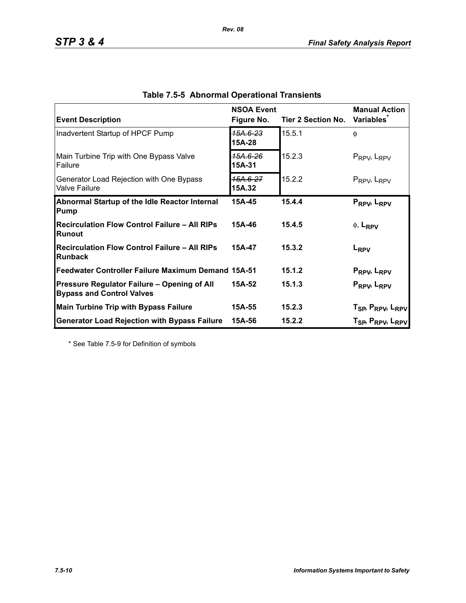| <b>Event Description</b>                                                        | <b>NSOA Event</b><br>Figure No. | Tier 2 Section No. | <b>Manual Action</b><br><b>Variables</b>                                                                       |
|---------------------------------------------------------------------------------|---------------------------------|--------------------|----------------------------------------------------------------------------------------------------------------|
| Inadvertent Startup of HPCF Pump                                                | 15A.6-23<br>15A-28              | 15.5.1             | $\phi$                                                                                                         |
| Main Turbine Trip with One Bypass Valve<br><b>Failure</b>                       | 15А.6-26<br>15A-31              | 15.2.3             | $P_{RPV}$ , $L_{RPV}$                                                                                          |
| Generator Load Rejection with One Bypass<br><b>Valve Failure</b>                | 15A.6-27<br>15A.32              | 15.2.2             | $P_{RPV}$ , $L_{RPV}$                                                                                          |
| Abnormal Startup of the Idle Reactor Internal<br>Pump                           | 15A-45                          | 15.4.4             | PRPV, LRPV                                                                                                     |
| <b>Recirculation Flow Control Failure - All RIPs</b><br>Runout                  | 15A-46                          | 15.4.5             | $\phi$ , L <sub>RPV</sub>                                                                                      |
| <b>Recirculation Flow Control Failure - All RIPs</b><br>Runback                 | 15A-47                          | 15.3.2             | L <sub>RPV</sub>                                                                                               |
| Feedwater Controller Failure Maximum Demand 15A-51                              |                                 | 15.1.2             | P <sub>RPV</sub> , L <sub>RPV</sub>                                                                            |
| Pressure Regulator Failure - Opening of All<br><b>Bypass and Control Valves</b> | 15A-52                          | 15.1.3             | PRPV <sub>b</sub> L <sub>RPV</sub>                                                                             |
| <b>Main Turbine Trip with Bypass Failure</b>                                    | 15A-55                          | 15.2.3             |                                                                                                                |
| <b>Generator Load Rejection with Bypass Failure</b>                             | 15A-56                          | 15.2.2             | T <sub>SP</sub> , P <sub>RPV</sub> , L <sub>RPV</sub><br>T <sub>SP</sub> , P <sub>RPV</sub> , L <sub>RPV</sub> |

| Table 7.5-5 Abnormal Operational Transients |
|---------------------------------------------|
|---------------------------------------------|

*Rev. 08*

\* See Table 7.5-9 for Definition of symbols